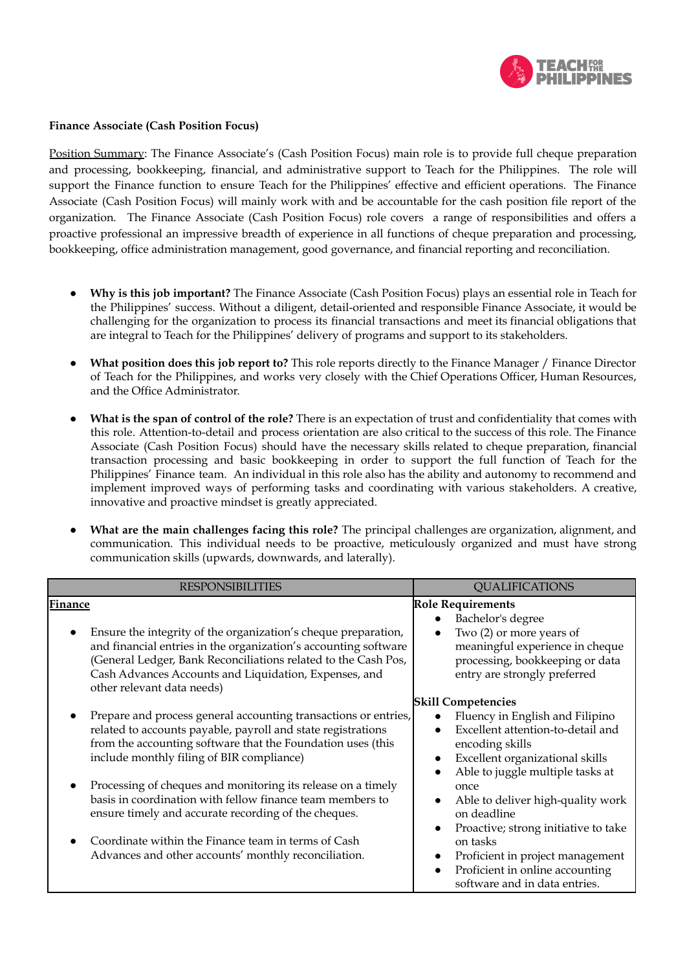

## **Finance Associate (Cash Position Focus)**

Position Summary: The Finance Associate's (Cash Position Focus) main role is to provide full cheque preparation and processing, bookkeeping, financial, and administrative support to Teach for the Philippines. The role will support the Finance function to ensure Teach for the Philippines' effective and efficient operations. The Finance Associate (Cash Position Focus) will mainly work with and be accountable for the cash position file report of the organization. The Finance Associate (Cash Position Focus) role covers a range of responsibilities and offers a proactive professional an impressive breadth of experience in all functions of cheque preparation and processing, bookkeeping, office administration management, good governance, and financial reporting and reconciliation.

- **Why is this job important?** The Finance Associate (Cash Position Focus) plays an essential role in Teach for the Philippines' success. Without a diligent, detail-oriented and responsible Finance Associate, it would be challenging for the organization to process its financial transactions and meet its financial obligations that are integral to Teach for the Philippines' delivery of programs and support to its stakeholders.
- **What position does this job report to?** This role reports directly to the Finance Manager / Finance Director of Teach for the Philippines, and works very closely with the Chief Operations Officer, Human Resources, and the Office Administrator.
- **What is the span of control of the role?** There is an expectation of trust and confidentiality that comes with this role. Attention-to-detail and process orientation are also critical to the success of this role. The Finance Associate (Cash Position Focus) should have the necessary skills related to cheque preparation, financial transaction processing and basic bookkeeping in order to support the full function of Teach for the Philippines' Finance team. An individual in this role also has the ability and autonomy to recommend and implement improved ways of performing tasks and coordinating with various stakeholders. A creative, innovative and proactive mindset is greatly appreciated.
- **What are the main challenges facing this role?** The principal challenges are organization, alignment, and communication. This individual needs to be proactive, meticulously organized and must have strong communication skills (upwards, downwards, and laterally).

| <b>RESPONSIBILITIES</b>                                                                                                                                                                                                                                                                               | <b>QUALIFICATIONS</b>                                                                                                                                                                                                                           |
|-------------------------------------------------------------------------------------------------------------------------------------------------------------------------------------------------------------------------------------------------------------------------------------------------------|-------------------------------------------------------------------------------------------------------------------------------------------------------------------------------------------------------------------------------------------------|
| Finance<br>Ensure the integrity of the organization's cheque preparation,<br>and financial entries in the organization's accounting software<br>(General Ledger, Bank Reconciliations related to the Cash Pos,<br>Cash Advances Accounts and Liquidation, Expenses, and<br>other relevant data needs) | <b>Role Requirements</b><br>Bachelor's degree<br>$\bullet$<br>Two (2) or more years of<br>$\bullet$<br>meaningful experience in cheque<br>processing, bookkeeping or data<br>entry are strongly preferred                                       |
| Prepare and process general accounting transactions or entries,<br>related to accounts payable, payroll and state registrations<br>from the accounting software that the Foundation uses (this<br>include monthly filing of BIR compliance)                                                           | <b>Skill Competencies</b><br>Fluency in English and Filipino<br>$\bullet$<br>Excellent attention-to-detail and<br>$\bullet$<br>encoding skills<br>Excellent organizational skills<br>$\bullet$<br>Able to juggle multiple tasks at<br>$\bullet$ |
| Processing of cheques and monitoring its release on a timely<br>basis in coordination with fellow finance team members to<br>ensure timely and accurate recording of the cheques.<br>Coordinate within the Finance team in terms of Cash                                                              | once<br>Able to deliver high-quality work<br>$\bullet$<br>on deadline<br>Proactive; strong initiative to take<br>$\bullet$<br>on tasks                                                                                                          |
| Advances and other accounts' monthly reconciliation.                                                                                                                                                                                                                                                  | Proficient in project management<br>$\bullet$<br>Proficient in online accounting<br>$\bullet$<br>software and in data entries.                                                                                                                  |